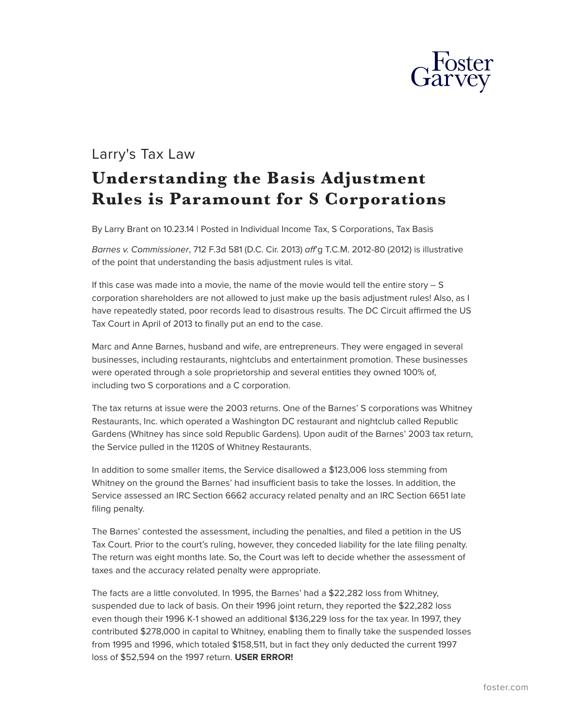

## Larry's Tax Law **Understanding the Basis Adjustment Rules is Paramount for S Corporations**

By Larry Brant on 10.23.14 | Posted in Individual Income Tax, S Corporations, Tax Basis

*Barnes v. Commissioner*, 712 F.3d 581 (D.C. Cir. 2013) *aff*'g T.C.M. 2012-80 (2012) is illustrative of the point that understanding the basis adjustment rules is vital.

If this case was made into a movie, the name of the movie would tell the entire story – S corporation shareholders are not allowed to just make up the basis adjustment rules! Also, as I have repeatedly stated, poor records lead to disastrous results. The DC Circuit affirmed the US Tax Court in April of 2013 to finally put an end to the case.

Marc and Anne Barnes, husband and wife, are entrepreneurs. They were engaged in several businesses, including restaurants, nightclubs and entertainment promotion. These businesses were operated through a sole proprietorship and several entities they owned 100% of, including two S corporations and a C corporation.

The tax returns at issue were the 2003 returns. One of the Barnes' S corporations was Whitney Restaurants, Inc. which operated a Washington DC restaurant and nightclub called Republic Gardens (Whitney has since sold Republic Gardens). Upon audit of the Barnes' 2003 tax return, the Service pulled in the 1120S of Whitney Restaurants.

In addition to some smaller items, the Service disallowed a \$123,006 loss stemming from Whitney on the ground the Barnes' had insufficient basis to take the losses. In addition, the Service assessed an IRC Section 6662 accuracy related penalty and an IRC Section 6651 late filing penalty.

The Barnes' contested the assessment, including the penalties, and filed a petition in the US Tax Court. Prior to the court's ruling, however, they conceded liability for the late filing penalty. The return was eight months late. So, the Court was left to decide whether the assessment of taxes and the accuracy related penalty were appropriate.

The facts are a little convoluted. In 1995, the Barnes' had a \$22,282 loss from Whitney, suspended due to lack of basis. On their 1996 joint return, they reported the \$22,282 loss even though their 1996 K-1 showed an additional \$136,229 loss for the tax year. In 1997, they contributed \$278,000 in capital to Whitney, enabling them to finally take the suspended losses from 1995 and 1996, which totaled \$158,511, but in fact they only deducted the current 1997 loss of \$52,594 on the 1997 return. **USER ERROR!**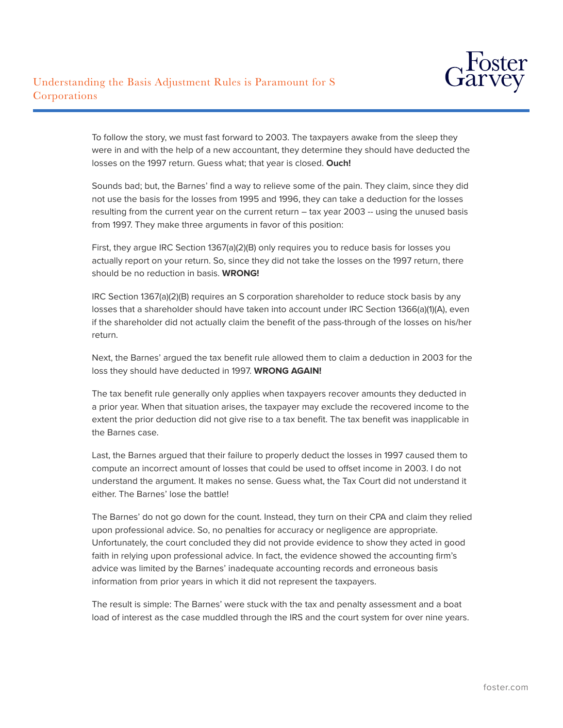

To follow the story, we must fast forward to 2003. The taxpayers awake from the sleep they were in and with the help of a new accountant, they determine they should have deducted the losses on the 1997 return. Guess what; that year is closed. **Ouch!**

Sounds bad; but, the Barnes' find a way to relieve some of the pain. They claim, since they did not use the basis for the losses from 1995 and 1996, they can take a deduction for the losses resulting from the current year on the current return – tax year 2003 -- using the unused basis from 1997. They make three arguments in favor of this position:

First, they argue IRC Section 1367(a)(2)(B) only requires you to reduce basis for losses you actually report on your return. So, since they did not take the losses on the 1997 return, there should be no reduction in basis. **WRONG!**

IRC Section 1367(a)(2)(B) requires an S corporation shareholder to reduce stock basis by any losses that a shareholder should have taken into account under IRC Section 1366(a)(1)(A), even if the shareholder did not actually claim the benefit of the pass-through of the losses on his/her return.

Next, the Barnes' argued the tax benefit rule allowed them to claim a deduction in 2003 for the loss they should have deducted in 1997. **WRONG AGAIN!**

The tax benefit rule generally only applies when taxpayers recover amounts they deducted in a prior year. When that situation arises, the taxpayer may exclude the recovered income to the extent the prior deduction did not give rise to a tax benefit. The tax benefit was inapplicable in the Barnes case.

Last, the Barnes argued that their failure to properly deduct the losses in 1997 caused them to compute an incorrect amount of losses that could be used to offset income in 2003. I do not understand the argument. It makes no sense. Guess what, the Tax Court did not understand it either. The Barnes' lose the battle!

The Barnes' do not go down for the count. Instead, they turn on their CPA and claim they relied upon professional advice. So, no penalties for accuracy or negligence are appropriate. Unfortunately, the court concluded they did not provide evidence to show they acted in good faith in relying upon professional advice. In fact, the evidence showed the accounting firm's advice was limited by the Barnes' inadequate accounting records and erroneous basis information from prior years in which it did not represent the taxpayers.

The result is simple: The Barnes' were stuck with the tax and penalty assessment and a boat load of interest as the case muddled through the IRS and the court system for over nine years.